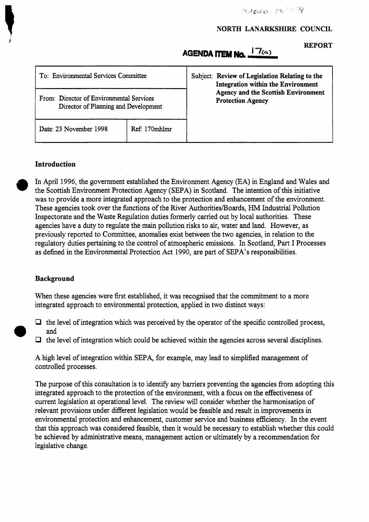#### **NORTH LANARKSHIRE COUNCIL**

**REPORT** 

# AGENDA ITEM No.  $^{17(a)}$

| To: Environmental Services Committee                                             |               | Subject: Review of Legislation Relating to the<br>Integration within the Environment<br><b>Agency and the Scottish Environment</b><br><b>Protection Agency</b> |
|----------------------------------------------------------------------------------|---------------|----------------------------------------------------------------------------------------------------------------------------------------------------------------|
| From: Director of Environmental Services<br>Director of Planning and Development |               |                                                                                                                                                                |
| Date: 23 November 1998                                                           | Ref: 170mhlmr |                                                                                                                                                                |

## **Introduction**

In April 1996, the government established the Environment Agency (EA) in England and Wales and the Scottish Environment Protection Agency (SEPA) in Scotland. The intention of this initiative was to provide a more integrated approach to the protection and enhancement of the environment. These agencies took over the functions of the River Authorities/Boards, HM Industrial Pollution Inspectorate and the Waste Regulation duties formerly carried out by local authorities. These agencies have a duty to regulate the main pollution risks to air, water and land. However, as previously reported to Committee, anomalies exist between the two agencies, in relation to the regulatory duties pertaining to the control of atmospheric emissions. In Scotland, Part I Processes as defined in the Environmental Protection Act 1990, are part of SEPA's responsibilities.

#### **Background**

When these agencies were first established, it was recognised that the commitment to a more integrated approach to environmental protection, applied in two distinct ways:

- □ the level of integration which was perceived by the operator of the specific controlled process, and
	- *0* the level of integration which could be achieved within the agencies across several disciplines.

A high level of integration within SEPA, for example, may lead to simplified management of controlled processes.

The purpose of this consultation is to identify any barriers preventing the agencies from adopting this integrated approach to the protection of the environment, with a focus on the effectiveness of current legislation at operational level. The review will consider whether the harmonisation of relevant provisions under different legislation would be feasible and result in improvements in environmental protection and enhancement, customer service and business efficiency. In the event that this approach was considered feasible, then it would be necessary to establish whether this could be achieved by administrative means, management action or ultimately by a recommendation for legislative change.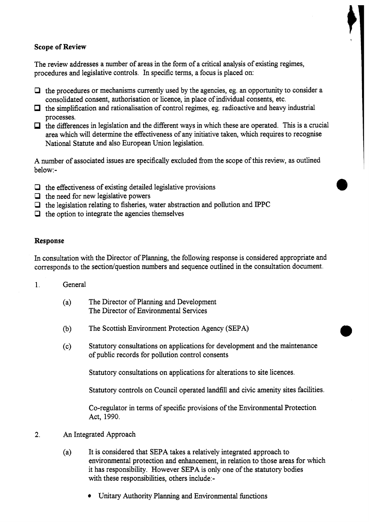# **Scope of Review**

The review addresses a number of areas in the form of a critical analysis of existing regimes, procedures and legislative controls. In specific terms, a focus is placed on:

- *0* the procedures or mechanisms currently used by the agencies, eg. an opportunity to consider a consolidated consent, authorisation or licence, in place of individual consents, etc.
- $\Box$  the simplification and rationalisation of control regimes, eg. radioactive and heavy industrial processes.
- $\Box$  the differences in legislation and the different ways in which these are operated. This is a crucial area which will determine the effectiveness of any initiative taken, which requires to recognise National Statute and also European Union legislation.

A number of associated issues are specifically excluded from the scope of this review, as outlined below:-

- *0* the effectiveness of existing detailed legislative provisions
- $\Box$  the need for new legislative powers
- **P** the legislation relating to fisheries, water abstraction and pollution and IPPC
- *0* the option to integrate the agencies themselves

## **Response**

In consultation with the Director of Planning, the following response is considered appropriate and corresponds to the section/question numbers and sequence outlined in the consultation document.

- 1. General
	- (a) The Director of Planning and Development The Director of Environmental Services
	- (b) The Scottish Environment Protection Agency (SEPA)
	- (c) Statutory consultations on applications for development and the maintenance of public records for pollution control consents

Statutory consultations on applications for alterations to site licences.

Statutory controls on Council operated landfill and civic amenity sites facilities.

CO-regulator in terms of specific provisions of the Environmental Protection Act, 1990.

# **2.** An Integrated Approach

- (a) It is considered that SEPA takes a relatively integrated approach to environmental protection and enhancement, in relation to those areas for which it has responsibility. However SEPA is only one of the statutory bodies with these responsibilities, others include:-
	- $\bullet$  Unitary Authority Planning and Environmental functions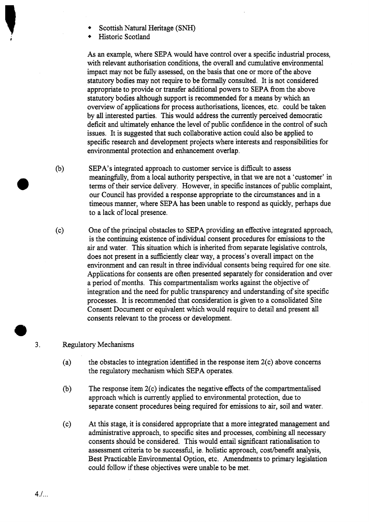- Scottish Natural Heritage (SNH)
- Historic Scotland

*As* an example, where SEPA would have control over a specific industrial process, with relevant authorisation conditions, the overall and cumulative environmental impact may not be fully assessed, on the basis that one or more of the above statutory bodies may not require to be formally consulted. It is not considered appropriate to provide or transfer additional powers to SEPA from the above statutory bodies although support is recommended for a means by which an overview of applications for process authorisations, licences, etc. could be taken by **all** interested parties. This would address the currently perceived democratic deficit and ultimately enhance the level of public confidence in the control of such issues. It is suggested that such collaborative action could also be applied to specific research and development projects where interests and responsibilities for environmental protection and enhancement overlap.

- (b) SEPA's integrated approach to customer service is difficult to assess meaningfidly, from a local authority perspective, in that we are not a 'customer' in terms of their service delivery. However, in specific instances of public complaint, our Council has provided a response appropriate to the circumstances and in a timeous manner, where SEPA has been unable to respond as quickly, perhaps due to a lack of local presence.
- (c) One of the principal obstacles to SEPA providing an effective integrated approach, is the continuing existence of individual consent procedures for emissions to the air and water. This situation which is inherited from separate legislative controls, does not present in a sufficiently clear way, a process's overall impact on the environment and can result in three individual consents being required for one site. Applications for consents are often presented separately for consideration and over a period of months. This cornpartmentalism works against the objective of integration and the need for public transparency and understanding of site specific processes. It is recommended that consideration is given to a consolidated Site Consent Document or equivalent which would require to detail and present all consents relevant to the process or development.

# **3.** Regulatory Mechanisms

- (a) the obstacles to integration identified in the response item  $2(c)$  above concerns the regulatory mechanism which SEPA operates.
- (b) The response item 2(c) indicates the negative effects of the compartmentalised approach which is currently applied to environmental protection, due to separate consent procedures being required for emissions to air, soil and water.
- (c) At this stage, it is considered appropriate that a more integrated management and administrative approach, to specific sites and processes, combining all necessary consents should be considered. This would entail sigmficant rationalisation to assessment criteria to be successful, ie. holistic approach, cost/benefit analysis, Best Practicable Environmental Option, etc. Amendments to primary legislation could follow if these objectives were unable to be met.

*4.1..* .

*0*